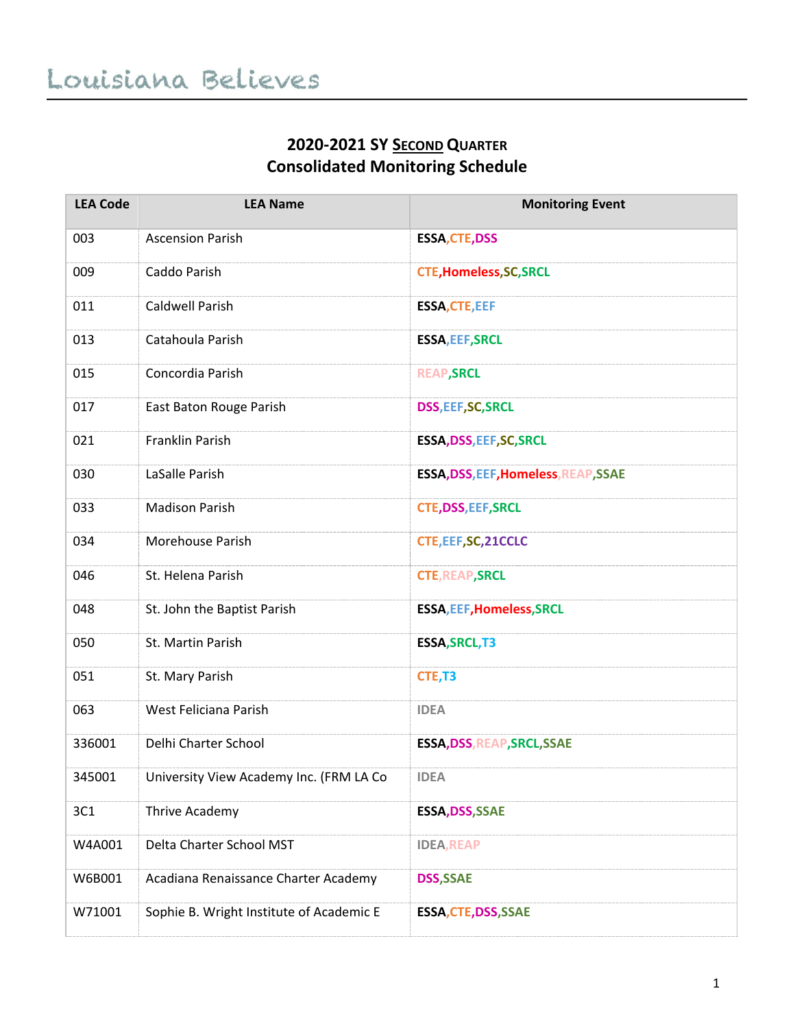## **2020-2021 SY SECOND QUARTER Consolidated Monitoring Schedule**

| <b>LEA Code</b> | <b>LEA Name</b>                          | <b>Monitoring Event</b>              |
|-----------------|------------------------------------------|--------------------------------------|
| 003             | <b>Ascension Parish</b>                  | <b>ESSA, CTE, DSS</b>                |
| 009             | Caddo Parish                             | <b>CTE, Homeless, SC, SRCL</b>       |
| 011             | Caldwell Parish                          | <b>ESSA, CTE, EEF</b>                |
| 013             | Catahoula Parish                         | <b>ESSA, EEF, SRCL</b>               |
| 015             | Concordia Parish                         | <b>REAP, SRCL</b>                    |
| 017             | East Baton Rouge Parish                  | <b>DSS, EEF, SC, SRCL</b>            |
| 021             | Franklin Parish                          | ESSA, DSS, EEF, SC, SRCL             |
| 030             | LaSalle Parish                           | ESSA, DSS, EEF, Homeless, REAP, SSAE |
| 033             | <b>Madison Parish</b>                    | <b>CTE, DSS, EEF, SRCL</b>           |
| 034             | Morehouse Parish                         | CTE, EEF, SC, 21CCLC                 |
| 046             | St. Helena Parish                        | <b>CTE, REAP, SRCL</b>               |
| 048             | St. John the Baptist Parish              | <b>ESSA, EEF, Homeless, SRCL</b>     |
| 050             | St. Martin Parish                        | <b>ESSA, SRCL, T3</b>                |
| 051             | St. Mary Parish                          | CTE, T3                              |
| 063             | West Feliciana Parish                    | <b>IDEA</b>                          |
| 336001          | Delhi Charter School                     | <b>ESSA, DSS, REAP, SRCL, SSAE</b>   |
| 345001          | University View Academy Inc. (FRM LA Co  | <b>IDEA</b>                          |
| 3C1             | Thrive Academy                           | ESSA, DSS, SSAE                      |
| W4A001          | Delta Charter School MST                 | <b>IDEA, REAP</b>                    |
| W6B001          | Acadiana Renaissance Charter Academy     | <b>DSS, SSAE</b>                     |
| W71001          | Sophie B. Wright Institute of Academic E | <b>ESSA, CTE, DSS, SSAE</b>          |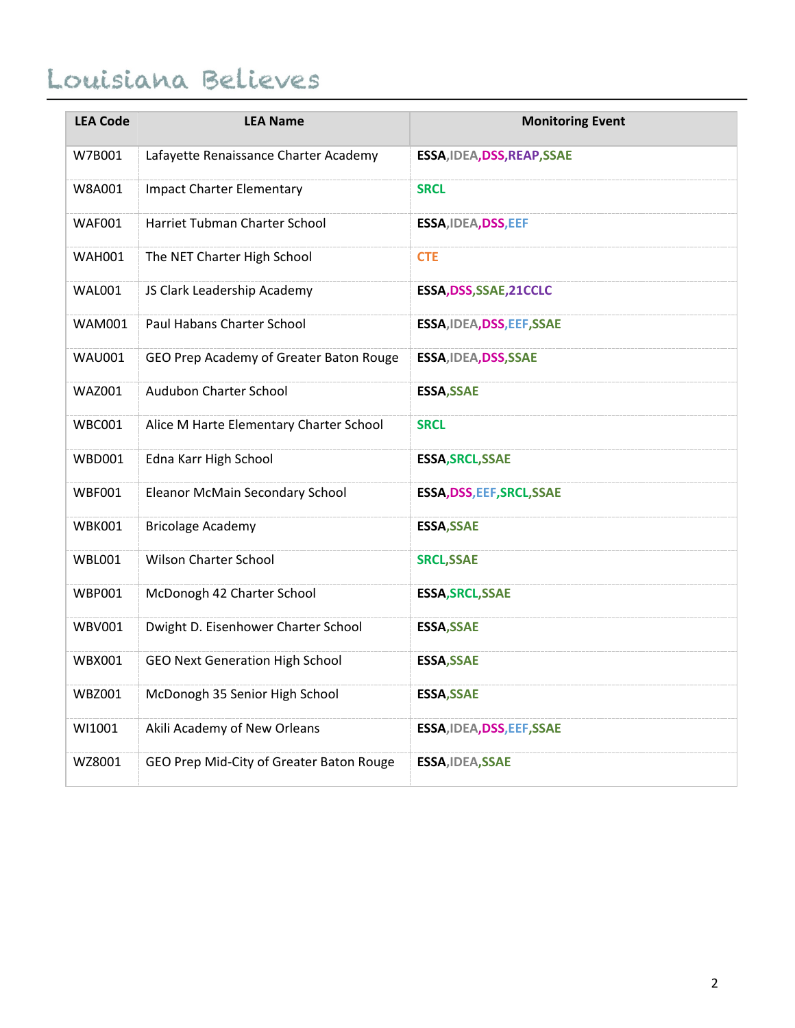## Louisiana Believes

| <b>LEA Code</b> | <b>LEA Name</b>                          | <b>Monitoring Event</b>     |
|-----------------|------------------------------------------|-----------------------------|
| W7B001          | Lafayette Renaissance Charter Academy    | ESSA, IDEA, DSS, REAP, SSAE |
| W8A001          | <b>Impact Charter Elementary</b>         | <b>SRCL</b>                 |
| <b>WAF001</b>   | Harriet Tubman Charter School            | ESSA, IDEA, DSS, EEF        |
| <b>WAH001</b>   | The NET Charter High School              | <b>CTE</b>                  |
| <b>WAL001</b>   | JS Clark Leadership Academy              | ESSA, DSS, SSAE, 21 CCLC    |
| <b>WAM001</b>   | Paul Habans Charter School               | ESSA, IDEA, DSS, EEF, SSAE  |
| <b>WAU001</b>   | GEO Prep Academy of Greater Baton Rouge  | ESSA, IDEA, DSS, SSAE       |
| <b>WAZ001</b>   | Audubon Charter School                   | <b>ESSA, SSAE</b>           |
| WBC001          | Alice M Harte Elementary Charter School  | <b>SRCL</b>                 |
| <b>WBD001</b>   | Edna Karr High School                    | <b>ESSA, SRCL, SSAE</b>     |
| <b>WBF001</b>   | Eleanor McMain Secondary School          | ESSA, DSS, EEF, SRCL, SSAE  |
| <b>WBK001</b>   | <b>Bricolage Academy</b>                 | <b>ESSA, SSAE</b>           |
| <b>WBL001</b>   | <b>Wilson Charter School</b>             | <b>SRCL, SSAE</b>           |
| <b>WBP001</b>   | McDonogh 42 Charter School               | <b>ESSA, SRCL, SSAE</b>     |
| <b>WBV001</b>   | Dwight D. Eisenhower Charter School      | <b>ESSA, SSAE</b>           |
| <b>WBX001</b>   | <b>GEO Next Generation High School</b>   | <b>ESSA, SSAE</b>           |
| <b>WBZ001</b>   | McDonogh 35 Senior High School           | <b>ESSA, SSAE</b>           |
| WI1001          | Akili Academy of New Orleans             | ESSA, IDEA, DSS, EEF, SSAE  |
| WZ8001          | GEO Prep Mid-City of Greater Baton Rouge | ESSA, IDEA, SSAE            |